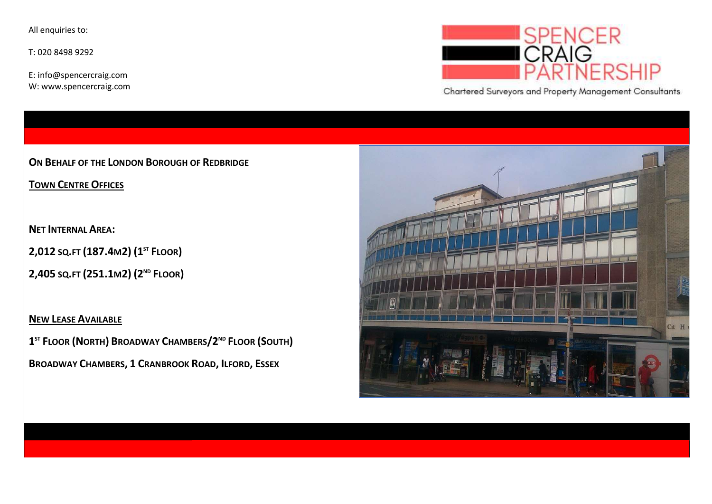All enquiries to:

T: 020 8498 9292

E: info@spencercraig.com W: www.spencercraig.com



Chartered Surveyors and Property Management Consultants

ON BEHALF OF THE LONDON BOROUGH OF REDBRIDGE

TOWN CENTRE OFFICES

NET INTERNAL AREA:

2,012 SQ.FT (187.4M2) (1<sup>ST</sup> FLOOR)

2,405 SQ.FT (251.1M2) (2<sup>ND</sup> FLOOR)

NEW LEASE AVAILABLE

1<sup>ST</sup> FLOOR (NORTH) BROADWAY CHAMBERS/2<sup>ND</sup> FLOOR (SOUTH)

BROADWAY CHAMBERS, 1 CRANBROOK ROAD, ILFORD, ESSEX